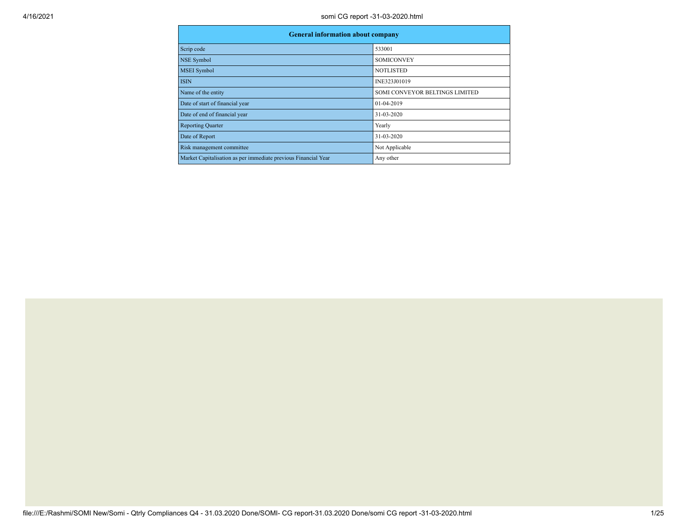| <b>General information about company</b>                       |                                |  |  |  |  |  |  |
|----------------------------------------------------------------|--------------------------------|--|--|--|--|--|--|
| Scrip code                                                     | 533001                         |  |  |  |  |  |  |
| NSE Symbol                                                     | <b>SOMICONVEY</b>              |  |  |  |  |  |  |
| <b>MSEI</b> Symbol                                             | <b>NOTLISTED</b>               |  |  |  |  |  |  |
| <b>ISIN</b>                                                    | INE323J01019                   |  |  |  |  |  |  |
| Name of the entity                                             | SOMI CONVEYOR BELTINGS LIMITED |  |  |  |  |  |  |
| Date of start of financial year                                | 01-04-2019                     |  |  |  |  |  |  |
| Date of end of financial year                                  | 31-03-2020                     |  |  |  |  |  |  |
| <b>Reporting Quarter</b>                                       | Yearly                         |  |  |  |  |  |  |
| Date of Report                                                 | 31-03-2020                     |  |  |  |  |  |  |
| Risk management committee                                      | Not Applicable                 |  |  |  |  |  |  |
| Market Capitalisation as per immediate previous Financial Year | Any other                      |  |  |  |  |  |  |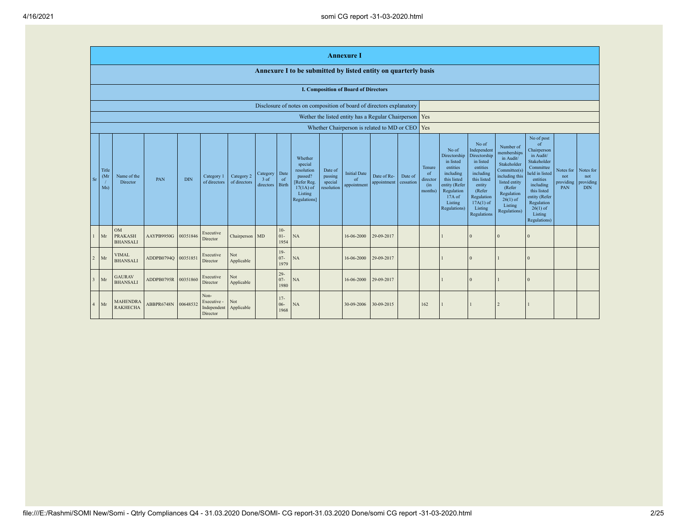|                |                      |                                                                      |            |            |                                                |                            |                                 |                            |                                                                                                      |                                             | <b>Annexure I</b>                                 |                            |                      |                                            |                                                                                                                                                |                                                                                                                                                                             |                                                                                                                                                                           |                                                                                                                                                                                                            |                                      |                                             |
|----------------|----------------------|----------------------------------------------------------------------|------------|------------|------------------------------------------------|----------------------------|---------------------------------|----------------------------|------------------------------------------------------------------------------------------------------|---------------------------------------------|---------------------------------------------------|----------------------------|----------------------|--------------------------------------------|------------------------------------------------------------------------------------------------------------------------------------------------|-----------------------------------------------------------------------------------------------------------------------------------------------------------------------------|---------------------------------------------------------------------------------------------------------------------------------------------------------------------------|------------------------------------------------------------------------------------------------------------------------------------------------------------------------------------------------------------|--------------------------------------|---------------------------------------------|
|                |                      |                                                                      |            |            |                                                |                            |                                 |                            | Annexure I to be submitted by listed entity on quarterly basis                                       |                                             |                                                   |                            |                      |                                            |                                                                                                                                                |                                                                                                                                                                             |                                                                                                                                                                           |                                                                                                                                                                                                            |                                      |                                             |
|                |                      |                                                                      |            |            |                                                |                            |                                 |                            |                                                                                                      |                                             | <b>I. Composition of Board of Directors</b>       |                            |                      |                                            |                                                                                                                                                |                                                                                                                                                                             |                                                                                                                                                                           |                                                                                                                                                                                                            |                                      |                                             |
|                |                      | Disclosure of notes on composition of board of directors explanatory |            |            |                                                |                            |                                 |                            |                                                                                                      |                                             |                                                   |                            |                      |                                            |                                                                                                                                                |                                                                                                                                                                             |                                                                                                                                                                           |                                                                                                                                                                                                            |                                      |                                             |
|                |                      | Wether the listed entity has a Regular Chairperson   Yes             |            |            |                                                |                            |                                 |                            |                                                                                                      |                                             |                                                   |                            |                      |                                            |                                                                                                                                                |                                                                                                                                                                             |                                                                                                                                                                           |                                                                                                                                                                                                            |                                      |                                             |
|                |                      |                                                                      |            |            |                                                |                            |                                 |                            |                                                                                                      |                                             | Whether Chairperson is related to MD or CEO   Yes |                            |                      |                                            |                                                                                                                                                |                                                                                                                                                                             |                                                                                                                                                                           |                                                                                                                                                                                                            |                                      |                                             |
| Sr             | Title<br>(Mr)<br>Ms) | Name of the<br>Director                                              | PAN        | <b>DIN</b> | Category 1<br>of directors                     | Category 2<br>of directors | Category<br>$3$ of<br>directors | Date<br>of<br><b>Birth</b> | Whether<br>special<br>resolution<br>passed?<br>[Refer Reg.<br>$17(1A)$ of<br>Listing<br>Regulations] | Date of<br>passing<br>special<br>resolution | <b>Initial Date</b><br>of<br>appointment          | Date of Re-<br>appointment | Date of<br>cessation | Tenure<br>of<br>director<br>(in<br>months) | No of<br>Directorship<br>in listed<br>entities<br>including<br>this listed<br>entity (Refer<br>Regulation<br>17A of<br>Listing<br>Regulations) | No of<br>Independent<br>Directorship<br>in listed<br>entities<br>including<br>this listed<br>entity<br>(Refer<br>Regulation<br>$17A(1)$ of<br>Listing<br><b>Regulations</b> | Number of<br>memberships<br>in Audit/<br>Stakeholder<br>Committee(s)<br>including this<br>listed entity<br>(Refer)<br>Regulation<br>$26(1)$ of<br>Listing<br>Regulations) | No of post<br>of<br>Chairperson<br>in Audit/<br>Stakeholder<br>Committee<br>held in listed<br>entities<br>including<br>this listed<br>entity (Refer<br>Regulation<br>$26(1)$ of<br>Listing<br>Regulations) | Notes for<br>not<br>providing<br>PAN | Notes for<br>not<br>providing<br><b>DIN</b> |
|                | Mr                   | <b>OM</b><br><b>PRAKASH</b><br><b>BHANSALI</b>                       | AAYPB9950G | 00351846   | Executive<br>Director                          | Chairperson MD             |                                 | $10-$<br>$01 -$<br>1954    | NA                                                                                                   |                                             | 16-06-2000                                        | 29-09-2017                 |                      |                                            |                                                                                                                                                | $\Omega$                                                                                                                                                                    | $\Omega$                                                                                                                                                                  | $\Omega$                                                                                                                                                                                                   |                                      |                                             |
| $\overline{2}$ | Mr                   | <b>VIMAL</b><br><b>BHANSALI</b>                                      | ADDPB0794Q | 00351851   | Executive<br>Director                          | Not<br>Applicable          |                                 | $19-$<br>$07 -$<br>1979    | NA                                                                                                   |                                             | 16-06-2000                                        | 29-09-2017                 |                      |                                            |                                                                                                                                                | $\Omega$                                                                                                                                                                    |                                                                                                                                                                           | $\mathbf{0}$                                                                                                                                                                                               |                                      |                                             |
| $\overline{3}$ | Mr                   | <b>GAURAV</b><br><b>BHANSALI</b>                                     | ADDPB0795R | 00351860   | Executive<br>Director                          | Not<br>Applicable          |                                 | $29-$<br>$07 -$<br>1980    | NA                                                                                                   |                                             | 16-06-2000                                        | 29-09-2017                 |                      |                                            |                                                                                                                                                | $\Omega$                                                                                                                                                                    |                                                                                                                                                                           | $\mathbf{0}$                                                                                                                                                                                               |                                      |                                             |
| $\overline{4}$ | Mr                   | <b>MAHENDRA</b><br><b>RAKHECHA</b>                                   | ABBPR6748N | 00648532   | Non-<br>Executive -<br>Independent<br>Director | Not<br>Applicable          |                                 | $17 -$<br>$06 -$<br>1968   | NA                                                                                                   |                                             | 30-09-2006                                        | 30-09-2015                 |                      | 162                                        |                                                                                                                                                |                                                                                                                                                                             | 2                                                                                                                                                                         |                                                                                                                                                                                                            |                                      |                                             |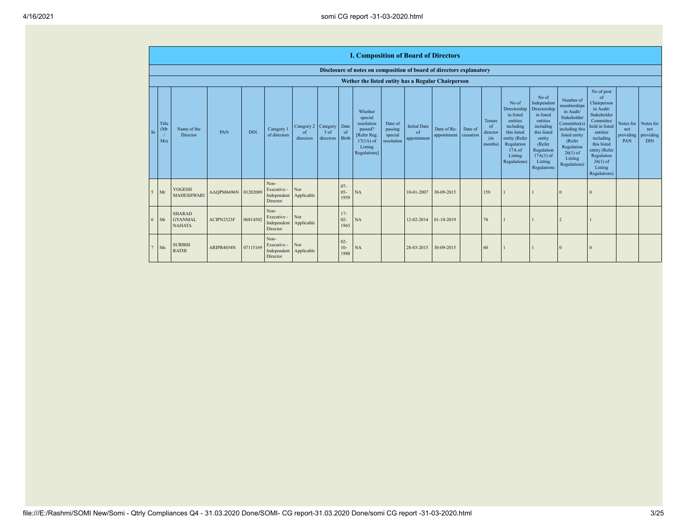|                                                    |                                                  |                     |            |                                                           |                                                   |                     |                          | <b>I. Composition of Board of Directors</b>                                                          |                                             |                                          |                            |                      |                                            |                                                                                                                                                  |                                                                                                                                                                             |                                                                                                                                                                          |                                                                                                                                                                                                            |                         |                                                       |
|----------------------------------------------------|--------------------------------------------------|---------------------|------------|-----------------------------------------------------------|---------------------------------------------------|---------------------|--------------------------|------------------------------------------------------------------------------------------------------|---------------------------------------------|------------------------------------------|----------------------------|----------------------|--------------------------------------------|--------------------------------------------------------------------------------------------------------------------------------------------------|-----------------------------------------------------------------------------------------------------------------------------------------------------------------------------|--------------------------------------------------------------------------------------------------------------------------------------------------------------------------|------------------------------------------------------------------------------------------------------------------------------------------------------------------------------------------------------------|-------------------------|-------------------------------------------------------|
|                                                    |                                                  |                     |            |                                                           |                                                   |                     |                          | Disclosure of notes on composition of board of directors explanatory                                 |                                             |                                          |                            |                      |                                            |                                                                                                                                                  |                                                                                                                                                                             |                                                                                                                                                                          |                                                                                                                                                                                                            |                         |                                                       |
| Wether the listed entity has a Regular Chairperson |                                                  |                     |            |                                                           |                                                   |                     |                          |                                                                                                      |                                             |                                          |                            |                      |                                            |                                                                                                                                                  |                                                                                                                                                                             |                                                                                                                                                                          |                                                                                                                                                                                                            |                         |                                                       |
| Title<br>(Mr)<br><b>Sr</b><br>Ms)                  | Name of the<br>Director                          | PAN                 | <b>DIN</b> | Category 1<br>of directors                                | Category 2 Category<br><sub>of</sub><br>directors | $3$ of<br>directors | Date<br>of<br>Birth      | Whether<br>special<br>resolution<br>passed?<br>[Refer Reg.<br>$17(1A)$ of<br>Listing<br>Regulations] | Date of<br>passing<br>special<br>resolution | <b>Initial Date</b><br>of<br>appointment | Date of Re-<br>appointment | Date of<br>cessation | Tenure<br>of<br>director<br>(in<br>months) | No of<br>Directorship<br>in listed<br>entities<br>including<br>this listed<br>entity (Refer<br>Regulation<br>$17A$ of<br>Listing<br>Regulations) | No of<br>Independent<br>Directorship<br>in listed<br>entities<br>including<br>this listed<br>entity<br>(Refer<br>Regulation<br>$17A(1)$ of<br>Listing<br><b>Regulations</b> | Number of<br>memberships<br>in Audit/<br>Stakeholder<br>Committee(s)<br>including this<br>listed entity<br>(Refer<br>Regulation<br>$26(1)$ of<br>Listing<br>Regulations) | No of post<br>of<br>Chairperson<br>in Audit/<br>Stakeholder<br>Committee<br>held in listed<br>entities<br>including<br>this listed<br>entity (Refer<br>Regulation<br>$26(1)$ of<br>Listing<br>Regulations) | not<br>providing<br>PAN | Notes for Notes for<br>not<br>providing<br><b>DIN</b> |
| $\sim$<br>Mr                                       | <b>YOGESH</b><br><b>MAHESHWARI</b>               | AAQPM6696N 01202089 |            | Non-<br>Executive -<br>Independent<br>Director            | Not<br>Applicable                                 |                     | $07 -$<br>$05 -$<br>1959 | NA                                                                                                   |                                             | 10-01-2007                               | 30-09-2015                 |                      | 159                                        |                                                                                                                                                  |                                                                                                                                                                             |                                                                                                                                                                          |                                                                                                                                                                                                            |                         |                                                       |
| Mr                                                 | <b>SHARAD</b><br><b>GYANMAL</b><br><b>NAHATA</b> | ACIPN2323F          | 06814502   | Non-<br>Executive -<br>Independent Applicable<br>Director | Not                                               |                     | $17 -$<br>$02 -$<br>1965 | NA                                                                                                   |                                             | 12-02-2014                               | $01-10-2019$               |                      | 74                                         |                                                                                                                                                  |                                                                                                                                                                             |                                                                                                                                                                          |                                                                                                                                                                                                            |                         |                                                       |
| Ms                                                 | <b>SURBHI</b><br><b>RATHI</b>                    | ARIPR4034N          | 07115169   | Non-<br>Executive -<br>Independent Applicable<br>Director | Not                                               |                     | $02 -$<br>$10-$<br>1988  | NA                                                                                                   |                                             | 28-03-2015                               | 30-09-2015                 |                      | 60                                         |                                                                                                                                                  |                                                                                                                                                                             |                                                                                                                                                                          |                                                                                                                                                                                                            |                         |                                                       |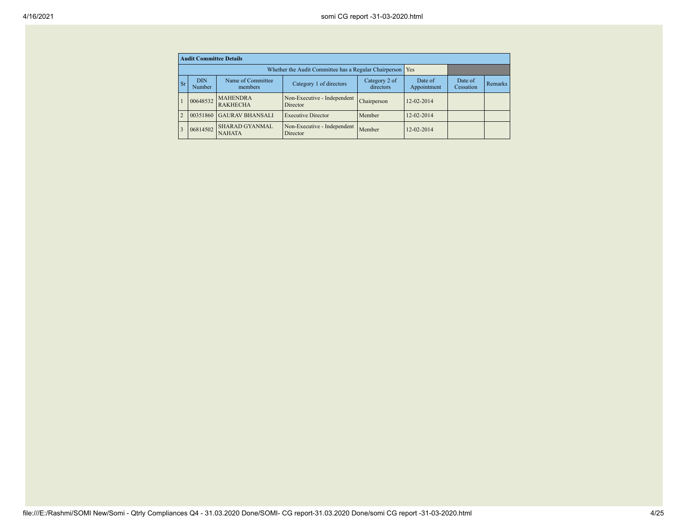|                | <b>Audit Committee Details</b>                                                                                |                                                             |                                         |             |                        |                      |         |  |  |  |
|----------------|---------------------------------------------------------------------------------------------------------------|-------------------------------------------------------------|-----------------------------------------|-------------|------------------------|----------------------|---------|--|--|--|
|                |                                                                                                               | Whether the Audit Committee has a Regular Chairperson   Yes |                                         |             |                        |                      |         |  |  |  |
| <b>Sr</b>      | Name of Committee<br><b>DIN</b><br>Category 2 of<br>Category 1 of directors<br>directors<br>members<br>Number |                                                             |                                         |             | Date of<br>Appointment | Date of<br>Cessation | Remarks |  |  |  |
|                | 00648532                                                                                                      | <b>MAHENDRA</b><br><b>RAKHECHA</b>                          | Non-Executive - Independent<br>Director | Chairperson | 12-02-2014             |                      |         |  |  |  |
| $\overline{2}$ | 00351860                                                                                                      | <b>GAURAV BHANSALI</b>                                      | <b>Executive Director</b>               | Member      | $12 - 02 - 2014$       |                      |         |  |  |  |
| $\overline{3}$ | 06814502                                                                                                      | <b>SHARAD GYANMAL</b><br><b>NAHATA</b>                      | Non-Executive - Independent<br>Director | Member      | $12 - 02 - 2014$       |                      |         |  |  |  |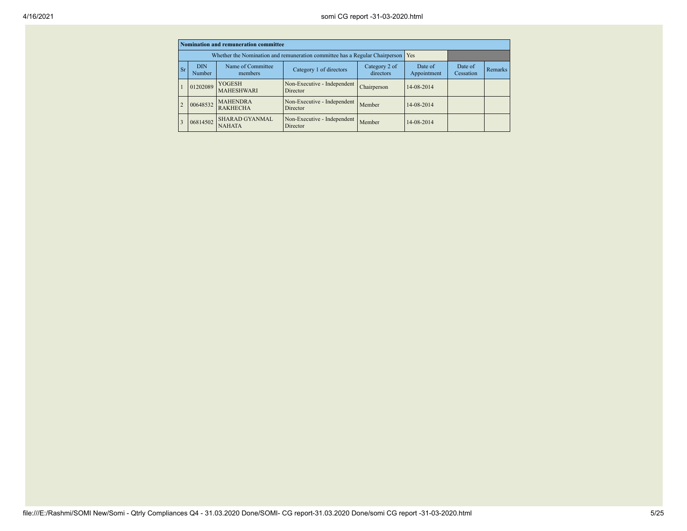|                |                                                                                                               | Nomination and remuneration committee                                       |                                                |             |                        |                      |                |
|----------------|---------------------------------------------------------------------------------------------------------------|-----------------------------------------------------------------------------|------------------------------------------------|-------------|------------------------|----------------------|----------------|
|                |                                                                                                               | Whether the Nomination and remuneration committee has a Regular Chairperson | Yes                                            |             |                        |                      |                |
| <b>Sr</b>      | Name of Committee<br><b>DIN</b><br>Category 2 of<br>Category 1 of directors<br>directors<br>Number<br>members |                                                                             |                                                |             | Date of<br>Appointment | Date of<br>Cessation | <b>Remarks</b> |
|                | 01202089                                                                                                      | <b>YOGESH</b><br><b>MAHESHWARI</b>                                          | Non-Executive - Independent<br>Director        | Chairperson | 14-08-2014             |                      |                |
| $\overline{2}$ | 00648532                                                                                                      | <b>MAHENDRA</b><br><b>RAKHECHA</b>                                          | Non-Executive - Independent<br><b>Director</b> | Member      | 14-08-2014             |                      |                |
| $\overline{3}$ | 06814502                                                                                                      | <b>SHARAD GYANMAL</b><br><b>NAHATA</b>                                      | Non-Executive - Independent<br>Director        | Member      | 14-08-2014             |                      |                |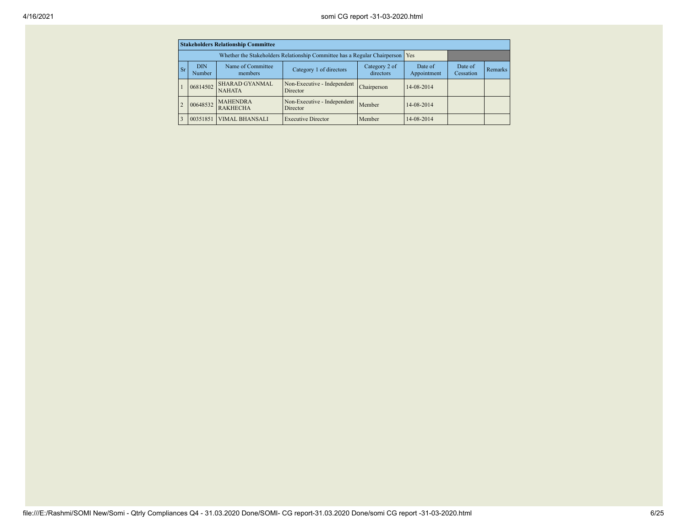|                | <b>Stakeholders Relationship Committee</b>                                                                    |                                                                           |                                         |             |            |                      |         |  |  |  |
|----------------|---------------------------------------------------------------------------------------------------------------|---------------------------------------------------------------------------|-----------------------------------------|-------------|------------|----------------------|---------|--|--|--|
|                |                                                                                                               | Whether the Stakeholders Relationship Committee has a Regular Chairperson | Yes                                     |             |            |                      |         |  |  |  |
| <b>Sr</b>      | Name of Committee<br><b>DIN</b><br>Category 2 of<br>Category 1 of directors<br>directors<br>Number<br>members |                                                                           |                                         |             |            | Date of<br>Cessation | Remarks |  |  |  |
|                | 06814502                                                                                                      | <b>SHARAD GYANMAL</b><br><b>NAHATA</b>                                    | Non-Executive - Independent<br>Director | Chairperson | 14-08-2014 |                      |         |  |  |  |
| $\overline{2}$ | 00648532                                                                                                      | <b>MAHENDRA</b><br><b>RAKHECHA</b>                                        | Non-Executive - Independent<br>Director | Member      | 14-08-2014 |                      |         |  |  |  |
|                | 00351851                                                                                                      | <b>VIMAL BHANSALI</b>                                                     | <b>Executive Director</b>               | Member      | 14-08-2014 |                      |         |  |  |  |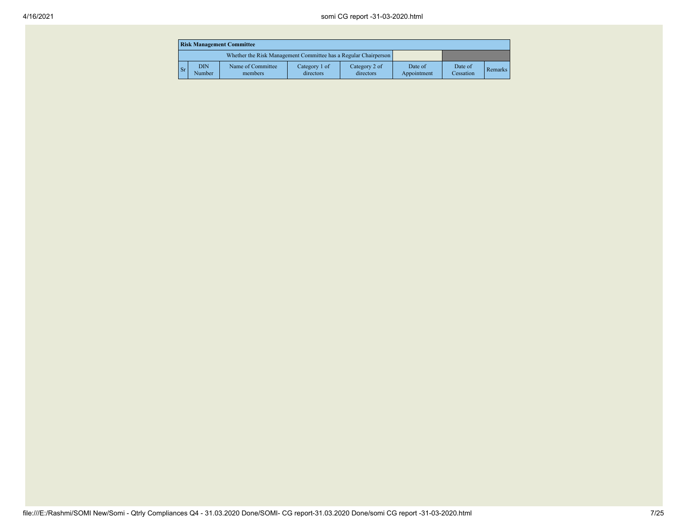|             | <b>Risk Management Committee</b> |                                                                 |                            |                            |                        |                      |         |  |  |  |
|-------------|----------------------------------|-----------------------------------------------------------------|----------------------------|----------------------------|------------------------|----------------------|---------|--|--|--|
|             |                                  | Whether the Risk Management Committee has a Regular Chairperson |                            |                            |                        |                      |         |  |  |  |
| $\sqrt{ST}$ | <b>DIN</b><br>Number             | Name of Committee<br>members                                    | Category 1 of<br>directors | Category 2 of<br>directors | Date of<br>Appointment | Date of<br>Cessation | Remarks |  |  |  |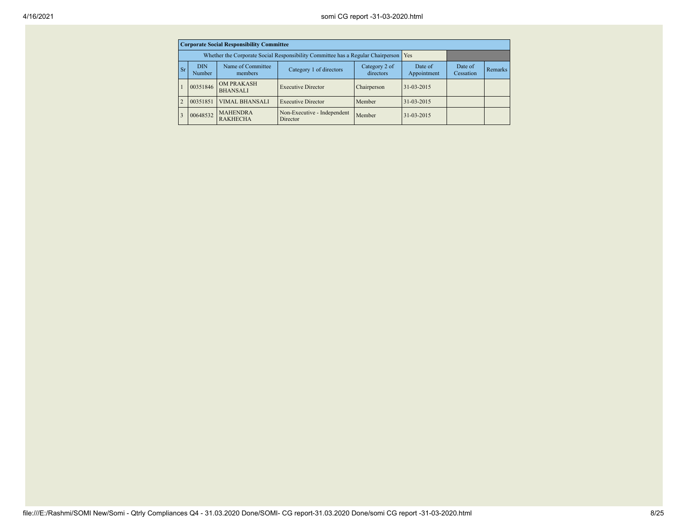|                | <b>Corporate Social Responsibility Committee</b>                                                              |                                                                                 |                                         |             |                  |                      |         |  |  |  |  |
|----------------|---------------------------------------------------------------------------------------------------------------|---------------------------------------------------------------------------------|-----------------------------------------|-------------|------------------|----------------------|---------|--|--|--|--|
|                |                                                                                                               | Whether the Corporate Social Responsibility Committee has a Regular Chairperson | Yes                                     |             |                  |                      |         |  |  |  |  |
| Sr             | Name of Committee<br><b>DIN</b><br>Category 2 of<br>Category 1 of directors<br>directors<br>Number<br>members |                                                                                 |                                         |             |                  | Date of<br>Cessation | Remarks |  |  |  |  |
|                | 00351846                                                                                                      | <b>OM PRAKASH</b><br><b>BHANSALI</b>                                            | <b>Executive Director</b>               | Chairperson | $31 - 03 - 2015$ |                      |         |  |  |  |  |
| $\overline{2}$ | 00351851                                                                                                      | <b>VIMAL BHANSALI</b>                                                           | <b>Executive Director</b>               | Member      | 31-03-2015       |                      |         |  |  |  |  |
| $\overline{3}$ | 00648532                                                                                                      | <b>MAHENDRA</b><br><b>RAKHECHA</b>                                              | Non-Executive - Independent<br>Director | Member      | $31 - 03 - 2015$ |                      |         |  |  |  |  |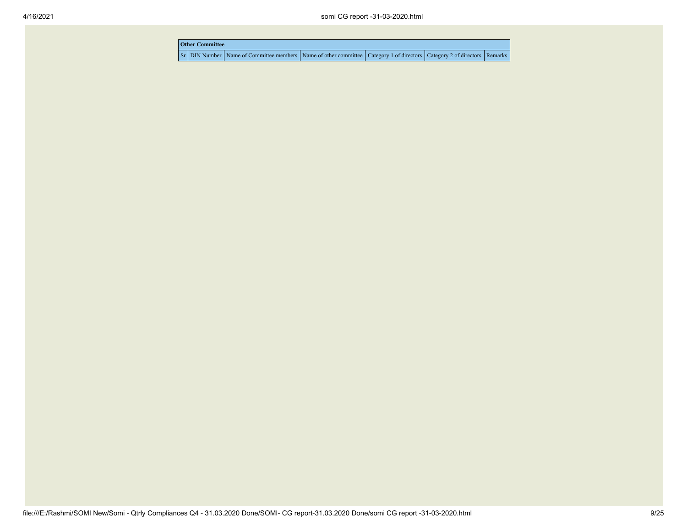| <b>Other Committee</b> |                                                                                                                                     |  |  |  |  |  |  |  |
|------------------------|-------------------------------------------------------------------------------------------------------------------------------------|--|--|--|--|--|--|--|
|                        | Sr   DIN Number   Name of Committee members   Name of other committee   Category 1 of directors   Category 2 of directors   Remarks |  |  |  |  |  |  |  |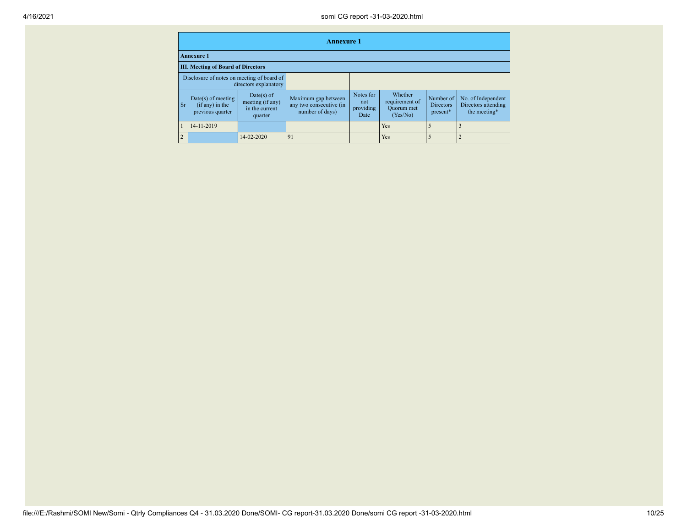|                |                                                                     |                                                               | <b>Annexure 1</b>                                                 |                                       |                                                            |                                           |                                                           |
|----------------|---------------------------------------------------------------------|---------------------------------------------------------------|-------------------------------------------------------------------|---------------------------------------|------------------------------------------------------------|-------------------------------------------|-----------------------------------------------------------|
|                | <b>Annexure 1</b>                                                   |                                                               |                                                                   |                                       |                                                            |                                           |                                                           |
|                | <b>III. Meeting of Board of Directors</b>                           |                                                               |                                                                   |                                       |                                                            |                                           |                                                           |
|                | Disclosure of notes on meeting of board of<br>directors explanatory |                                                               |                                                                   |                                       |                                                            |                                           |                                                           |
| <b>Sr</b>      | $Date(s)$ of meeting<br>(if any) in the<br>previous quarter         | $Date(s)$ of<br>meeting (if any)<br>in the current<br>quarter | Maximum gap between<br>any two consecutive (in<br>number of days) | Notes for<br>not<br>providing<br>Date | Whether<br>requirement of<br><b>Ouorum</b> met<br>(Yes/No) | Number of<br><b>Directors</b><br>present* | No. of Independent<br>Directors attending<br>the meeting* |
|                | 14-11-2019                                                          |                                                               |                                                                   |                                       | Yes                                                        |                                           |                                                           |
| $\overline{2}$ |                                                                     | 14-02-2020                                                    | 91                                                                |                                       | Yes                                                        |                                           |                                                           |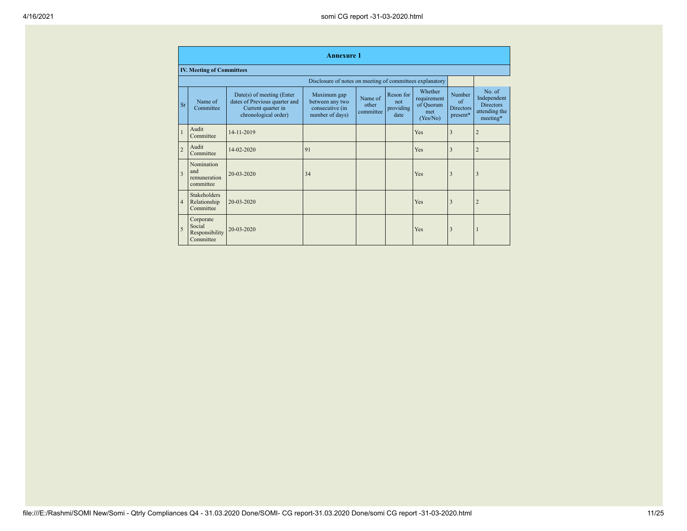|                         | <b>Annexure 1</b>                                  |                                                                                                            |                                                                      |                               |                                       |                                                        |                                                      |                                                                         |  |  |
|-------------------------|----------------------------------------------------|------------------------------------------------------------------------------------------------------------|----------------------------------------------------------------------|-------------------------------|---------------------------------------|--------------------------------------------------------|------------------------------------------------------|-------------------------------------------------------------------------|--|--|
|                         | <b>IV. Meeting of Committees</b>                   |                                                                                                            |                                                                      |                               |                                       |                                                        |                                                      |                                                                         |  |  |
|                         |                                                    |                                                                                                            | Disclosure of notes on meeting of committees explanatory             |                               |                                       |                                                        |                                                      |                                                                         |  |  |
| <b>Sr</b>               | Name of<br>Committee                               | $Date(s)$ of meeting (Enter<br>dates of Previous quarter and<br>Current quarter in<br>chronological order) | Maximum gap<br>between any two<br>consecutive (in<br>number of days) | Name of<br>other<br>committee | Reson for<br>not<br>providing<br>date | Whether<br>requirement<br>of Quorum<br>met<br>(Yes/No) | Number<br>$\alpha$ f<br><b>Directors</b><br>present* | $No$ of<br>Independent<br><b>Directors</b><br>attending the<br>meeting* |  |  |
|                         | Audit<br>Committee                                 | 14-11-2019                                                                                                 |                                                                      |                               |                                       | Yes                                                    | 3                                                    | $\overline{2}$                                                          |  |  |
| $\overline{c}$          | Audit<br>Committee                                 | 14-02-2020                                                                                                 | 91                                                                   |                               |                                       | Yes                                                    | 3                                                    | $\overline{c}$                                                          |  |  |
| $\overline{\mathbf{3}}$ | Nomination<br>and<br>remuneration<br>committee     | $20 - 03 - 2020$                                                                                           | 34                                                                   |                               |                                       | Yes                                                    | 3                                                    | 3                                                                       |  |  |
| $\overline{4}$          | <b>Stakeholders</b><br>Relationship<br>Committee   | 20-03-2020                                                                                                 |                                                                      |                               |                                       | Yes                                                    | 3                                                    |                                                                         |  |  |
| 5                       | Corporate<br>Social<br>Responsibility<br>Committee | 20-03-2020                                                                                                 |                                                                      |                               |                                       | Yes                                                    | 3                                                    |                                                                         |  |  |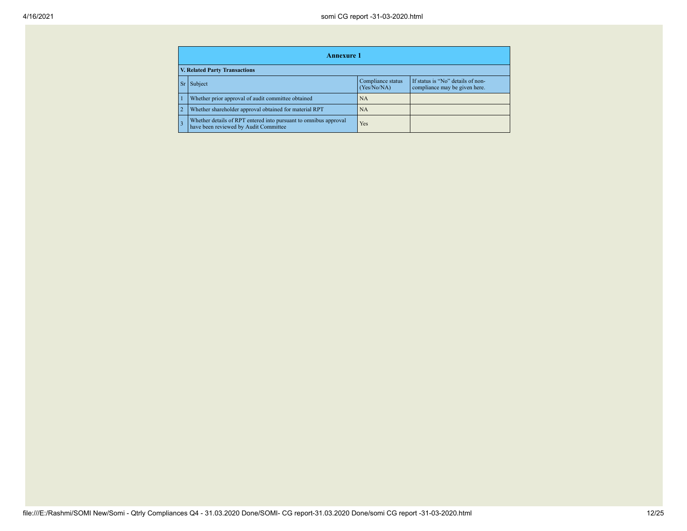| <b>Annexure 1</b>                                                                                                       |     |  |  |  |  |  |  |
|-------------------------------------------------------------------------------------------------------------------------|-----|--|--|--|--|--|--|
| <b>V. Related Party Transactions</b>                                                                                    |     |  |  |  |  |  |  |
| If status is "No" details of non-<br>Compliance status<br>Subject<br>Sr<br>(Yes/No/NA)<br>compliance may be given here. |     |  |  |  |  |  |  |
| Whether prior approval of audit committee obtained                                                                      | NA  |  |  |  |  |  |  |
| Whether shareholder approval obtained for material RPT                                                                  | NA  |  |  |  |  |  |  |
| Whether details of RPT entered into pursuant to omnibus approval<br>have been reviewed by Audit Committee               | Yes |  |  |  |  |  |  |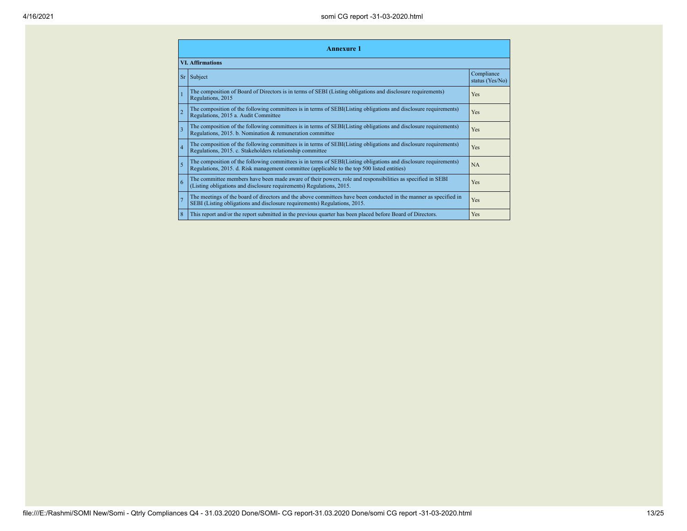|                         | <b>Annexure 1</b>                                                                                                                                                                                               |                               |  |  |
|-------------------------|-----------------------------------------------------------------------------------------------------------------------------------------------------------------------------------------------------------------|-------------------------------|--|--|
|                         | <b>VI. Affirmations</b>                                                                                                                                                                                         |                               |  |  |
| <b>Sr</b>               | Subject                                                                                                                                                                                                         | Compliance<br>status (Yes/No) |  |  |
|                         | The composition of Board of Directors is in terms of SEBI (Listing obligations and disclosure requirements)<br>Regulations, 2015                                                                                | Yes                           |  |  |
| $\overline{2}$          | The composition of the following committees is in terms of SEBI(Listing obligations and disclosure requirements)<br>Regulations, 2015 a. Audit Committee                                                        | Yes                           |  |  |
| $\overline{\mathbf{3}}$ | The composition of the following committees is in terms of SEBI(Listing obligations and disclosure requirements)<br>Regulations, 2015. b. Nomination & remuneration committee                                   | Yes                           |  |  |
| $\overline{4}$          | The composition of the following committees is in terms of SEBI(Listing obligations and disclosure requirements)<br>Regulations, 2015. c. Stakeholders relationship committee                                   | Yes                           |  |  |
| 5                       | The composition of the following committees is in terms of SEBI(Listing obligations and disclosure requirements)<br>Regulations, 2015. d. Risk management committee (applicable to the top 500 listed entities) | <b>NA</b>                     |  |  |
| 6                       | The committee members have been made aware of their powers, role and responsibilities as specified in SEBI<br>(Listing obligations and disclosure requirements) Regulations, 2015.                              | Yes                           |  |  |
|                         | The meetings of the board of directors and the above committees have been conducted in the manner as specified in<br>SEBI (Listing obligations and disclosure requirements) Regulations, 2015.                  | Yes                           |  |  |
| 8                       | This report and/or the report submitted in the previous quarter has been placed before Board of Directors.                                                                                                      | Yes                           |  |  |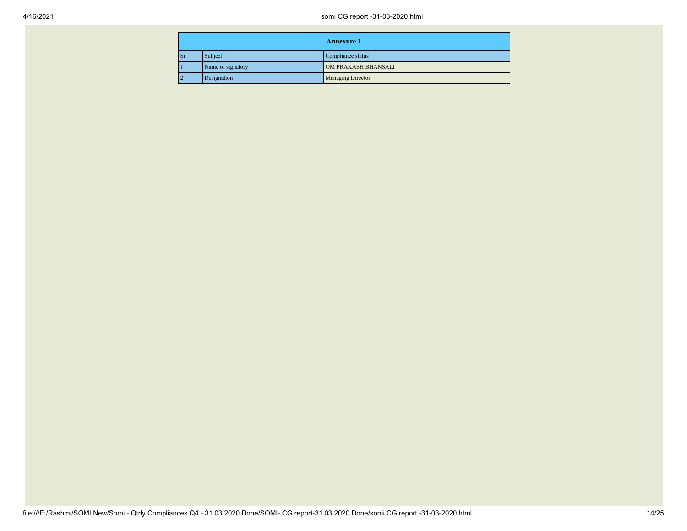| <b>Annexure 1</b> |                   |                          |
|-------------------|-------------------|--------------------------|
| <b>Sr</b>         | Subject           | Compliance status        |
|                   | Name of signatory | OM PRAKASH BHANSALI      |
| 12                | Designation       | <b>Managing Director</b> |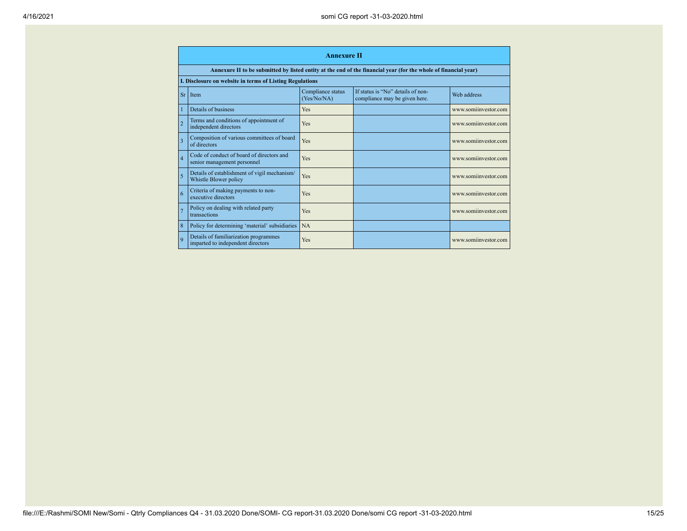|                | <b>Annexure II</b>                                                         |                                  |                                                                                                                 |                      |
|----------------|----------------------------------------------------------------------------|----------------------------------|-----------------------------------------------------------------------------------------------------------------|----------------------|
|                |                                                                            |                                  | Annexure II to be submitted by listed entity at the end of the financial year (for the whole of financial year) |                      |
|                | I. Disclosure on website in terms of Listing Regulations                   |                                  |                                                                                                                 |                      |
| Sr             | Item                                                                       | Compliance status<br>(Yes/No/NA) | If status is "No" details of non-<br>compliance may be given here.                                              | Web address          |
|                | Details of business                                                        | Yes                              |                                                                                                                 | www.somiinvestor.com |
| $\overline{2}$ | Terms and conditions of appointment of<br>independent directors            | <b>Yes</b>                       |                                                                                                                 | www.somiinvestor.com |
| 3              | Composition of various committees of board<br>of directors                 | Yes                              |                                                                                                                 | www.somiinvestor.com |
| $\overline{4}$ | Code of conduct of board of directors and<br>senior management personnel   | Yes                              |                                                                                                                 | www.somiinvestor.com |
| 5              | Details of establishment of vigil mechanism/<br>Whistle Blower policy      | <b>Yes</b>                       |                                                                                                                 | www.somiinvestor.com |
| 6              | Criteria of making payments to non-<br>executive directors                 | <b>Yes</b>                       |                                                                                                                 | www.somiinvestor.com |
| $\overline{7}$ | Policy on dealing with related party<br>transactions                       | <b>Yes</b>                       |                                                                                                                 | www.somiinvestor.com |
| 8              | Policy for determining 'material' subsidiaries                             | <b>NA</b>                        |                                                                                                                 |                      |
| $\overline{Q}$ | Details of familiarization programmes<br>imparted to independent directors | <b>Yes</b>                       |                                                                                                                 | www.somiinvestor.com |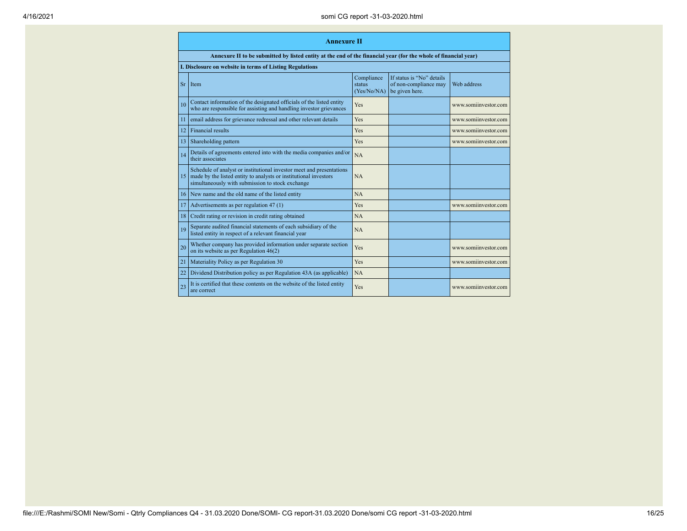|                 | <b>Annexure</b> II                                                                                                                                                                           |                                     |                                                                      |                      |  |
|-----------------|----------------------------------------------------------------------------------------------------------------------------------------------------------------------------------------------|-------------------------------------|----------------------------------------------------------------------|----------------------|--|
|                 | Annexure II to be submitted by listed entity at the end of the financial year (for the whole of financial year)                                                                              |                                     |                                                                      |                      |  |
|                 | I. Disclosure on website in terms of Listing Regulations                                                                                                                                     |                                     |                                                                      |                      |  |
| Sr              | Item                                                                                                                                                                                         | Compliance<br>status<br>(Yes/No/NA) | If status is "No" details<br>of non-compliance may<br>be given here. | Web address          |  |
| 10              | Contact information of the designated officials of the listed entity<br>who are responsible for assisting and handling investor grievances                                                   | Yes                                 |                                                                      | www.somiinvestor.com |  |
| $\overline{11}$ | email address for grievance redressal and other relevant details                                                                                                                             | Yes                                 |                                                                      | www.somiinvestor.com |  |
| 12              | <b>Financial results</b>                                                                                                                                                                     | Yes                                 |                                                                      | www.somiinvestor.com |  |
| 13              | Shareholding pattern                                                                                                                                                                         | Yes                                 |                                                                      | www.somiinvestor.com |  |
| 14              | Details of agreements entered into with the media companies and/or<br>their associates                                                                                                       | NA                                  |                                                                      |                      |  |
| 15              | Schedule of analyst or institutional investor meet and presentations<br>made by the listed entity to analysts or institutional investors<br>simultaneously with submission to stock exchange | <b>NA</b>                           |                                                                      |                      |  |
| 16              | New name and the old name of the listed entity                                                                                                                                               | NA                                  |                                                                      |                      |  |
| 17              | Advertisements as per regulation 47 (1)                                                                                                                                                      | Yes                                 |                                                                      | www.somiinvestor.com |  |
| 18              | Credit rating or revision in credit rating obtained                                                                                                                                          | <b>NA</b>                           |                                                                      |                      |  |
| 19              | Separate audited financial statements of each subsidiary of the<br>listed entity in respect of a relevant financial year                                                                     | <b>NA</b>                           |                                                                      |                      |  |
| 20              | Whether company has provided information under separate section<br>on its website as per Regulation $46(2)$                                                                                  | Yes                                 |                                                                      | www.somiinvestor.com |  |
| 21              | Materiality Policy as per Regulation 30                                                                                                                                                      | Yes                                 |                                                                      | www.somiinvestor.com |  |
| 22              | Dividend Distribution policy as per Regulation 43A (as applicable)                                                                                                                           | NA                                  |                                                                      |                      |  |
| 23              | It is certified that these contents on the website of the listed entity<br>are correct                                                                                                       | Yes                                 |                                                                      | www.somiinvestor.com |  |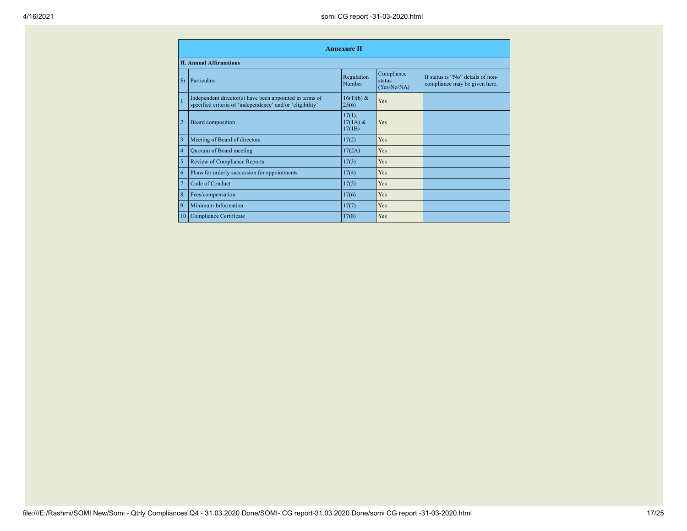|                | <b>Annexure II</b>                                                                                                   |                                    |                                     |                                                                    |
|----------------|----------------------------------------------------------------------------------------------------------------------|------------------------------------|-------------------------------------|--------------------------------------------------------------------|
|                | <b>II. Annual Affirmations</b>                                                                                       |                                    |                                     |                                                                    |
| <b>Sr</b>      | Particulars                                                                                                          | Regulation<br>Number               | Compliance<br>status<br>(Yes/No/NA) | If status is "No" details of non-<br>compliance may be given here. |
|                | Independent director(s) have been appointed in terms of<br>specified criteria of 'independence' and/or 'eligibility' | 16(1)(b) &<br>25(6)                | Yes                                 |                                                                    |
| $\overline{2}$ | Board composition                                                                                                    | $17(1)$ ,<br>$17(1A) \&$<br>17(1B) | Yes                                 |                                                                    |
| 3              | Meeting of Board of directors                                                                                        | 17(2)                              | Yes                                 |                                                                    |
| $\overline{4}$ | Quorum of Board meeting                                                                                              | 17(2A)                             | Yes                                 |                                                                    |
| 5              | <b>Review of Compliance Reports</b>                                                                                  | 17(3)                              | Yes                                 |                                                                    |
| 6              | Plans for orderly succession for appointments                                                                        | 17(4)                              | Yes                                 |                                                                    |
| $\overline{7}$ | Code of Conduct                                                                                                      | 17(5)                              | Yes                                 |                                                                    |
| 8              | Fees/compensation                                                                                                    | 17(6)                              | Yes                                 |                                                                    |
| 9              | Minimum Information                                                                                                  | 17(7)                              | Yes                                 |                                                                    |
| 10             | Compliance Certificate                                                                                               | 17(8)                              | Yes                                 |                                                                    |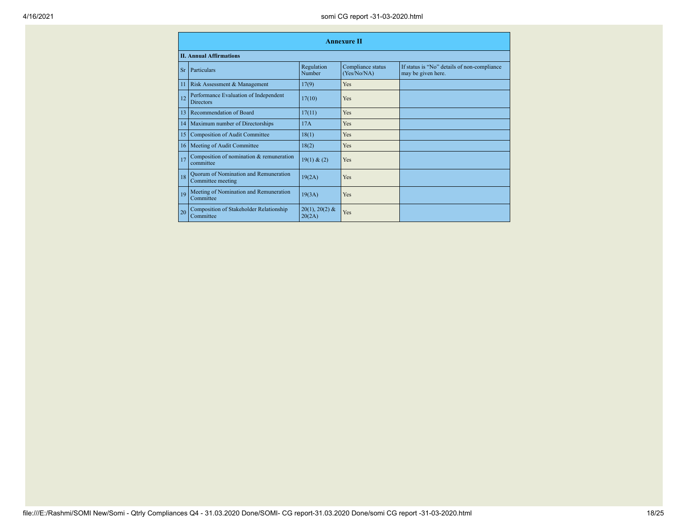|           | <b>Annexure II</b>                                         |                            |                                  |                                                                   |  |
|-----------|------------------------------------------------------------|----------------------------|----------------------------------|-------------------------------------------------------------------|--|
|           | <b>II. Annual Affirmations</b>                             |                            |                                  |                                                                   |  |
| <b>Sr</b> | Particulars                                                | Regulation<br>Number       | Compliance status<br>(Yes/No/NA) | If status is "No" details of non-compliance<br>may be given here. |  |
| 11        | Risk Assessment & Management                               | 17(9)                      | Yes                              |                                                                   |  |
| 12        | Performance Evaluation of Independent<br><b>Directors</b>  | 17(10)                     | Yes                              |                                                                   |  |
| 13        | Recommendation of Board                                    | 17(11)                     | Yes                              |                                                                   |  |
| 14        | Maximum number of Directorships                            | 17A                        | Yes                              |                                                                   |  |
| 15        | <b>Composition of Audit Committee</b>                      | 18(1)                      | Yes                              |                                                                   |  |
| 16        | Meeting of Audit Committee                                 | 18(2)                      | Yes                              |                                                                   |  |
| 17        | Composition of nomination & remuneration<br>committee      | 19(1) & (2)                | Yes                              |                                                                   |  |
| 18        | Quorum of Nomination and Remuneration<br>Committee meeting | 19(2A)                     | Yes                              |                                                                   |  |
| 19        | Meeting of Nomination and Remuneration<br>Committee        | 19(3A)                     | Yes                              |                                                                   |  |
| 20        | Composition of Stakeholder Relationship<br>Committee       | $20(1), 20(2)$ &<br>20(2A) | Yes                              |                                                                   |  |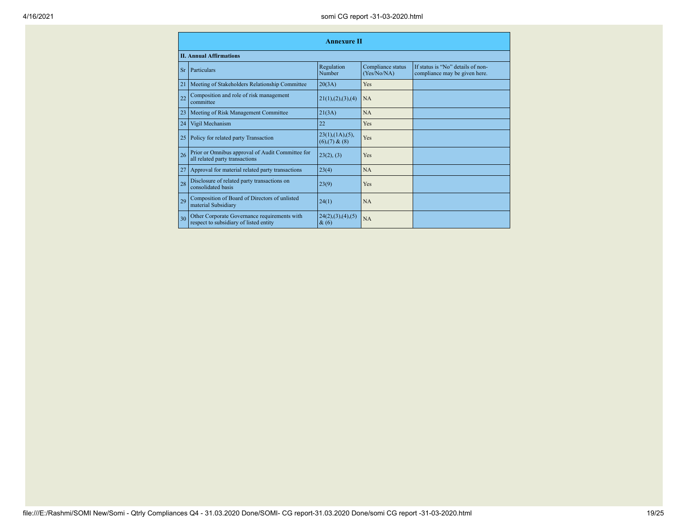|           | <b>Annexure II</b>                                                                     |                                                     |                                  |                                                                    |
|-----------|----------------------------------------------------------------------------------------|-----------------------------------------------------|----------------------------------|--------------------------------------------------------------------|
|           | <b>II. Annual Affirmations</b>                                                         |                                                     |                                  |                                                                    |
| <b>Sr</b> | Particulars                                                                            | Regulation<br>Number                                | Compliance status<br>(Yes/No/NA) | If status is "No" details of non-<br>compliance may be given here. |
| 21        | Meeting of Stakeholders Relationship Committee                                         | 20(3A)                                              | Yes                              |                                                                    |
| 22        | Composition and role of risk management<br>committee                                   | 21(1), (2), (3), (4)                                | <b>NA</b>                        |                                                                    |
| 23        | Meeting of Risk Management Committee                                                   | 21(3A)                                              | <b>NA</b>                        |                                                                    |
| 24        | Vigil Mechanism                                                                        | 22                                                  | Yes                              |                                                                    |
| 25        | Policy for related party Transaction                                                   | $23(1)$ , $(1A)$ , $(5)$ ,<br>$(6)$ , $(7)$ & $(8)$ | Yes                              |                                                                    |
| 26        | Prior or Omnibus approval of Audit Committee for<br>all related party transactions     | 23(2), (3)                                          | Yes                              |                                                                    |
| 27        | Approval for material related party transactions                                       | 23(4)                                               | NA                               |                                                                    |
| 28        | Disclosure of related party transactions on<br>consolidated basis                      | 23(9)                                               | Yes                              |                                                                    |
| 29        | Composition of Board of Directors of unlisted<br>material Subsidiary                   | 24(1)                                               | <b>NA</b>                        |                                                                    |
| 30        | Other Corporate Governance requirements with<br>respect to subsidiary of listed entity | 24(2),(3),(4),(5)<br>& (6)                          | NA                               |                                                                    |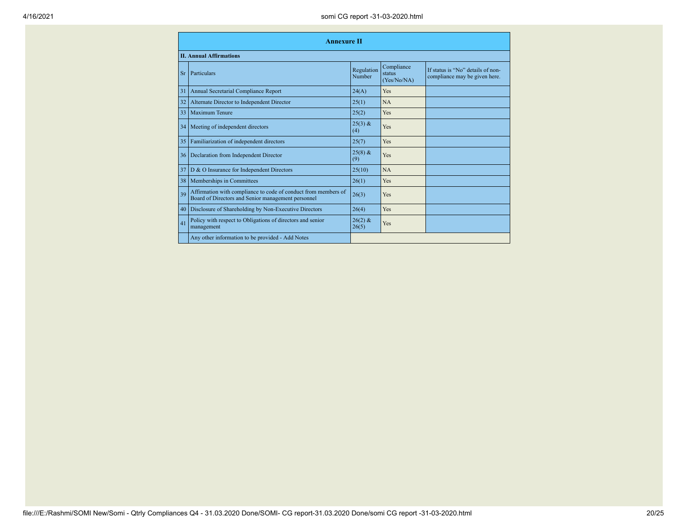|           | <b>Annexure II</b>                                                                                                   |                      |                                     |                                                                    |
|-----------|----------------------------------------------------------------------------------------------------------------------|----------------------|-------------------------------------|--------------------------------------------------------------------|
|           | <b>II. Annual Affirmations</b>                                                                                       |                      |                                     |                                                                    |
| <b>Sr</b> | Particulars                                                                                                          | Regulation<br>Number | Compliance<br>status<br>(Yes/No/NA) | If status is "No" details of non-<br>compliance may be given here. |
| 31        | <b>Annual Secretarial Compliance Report</b>                                                                          | 24(A)                | Yes                                 |                                                                    |
| 32        | Alternate Director to Independent Director                                                                           | 25(1)                | <b>NA</b>                           |                                                                    |
| 33        | Maximum Tenure                                                                                                       | 25(2)                | Yes                                 |                                                                    |
| 34        | Meeting of independent directors                                                                                     | $25(3)$ &<br>(4)     | Yes                                 |                                                                    |
| 35        | Familiarization of independent directors                                                                             | 25(7)                | Yes                                 |                                                                    |
| 36        | Declaration from Independent Director                                                                                | $25(8)$ &<br>(9)     | Yes                                 |                                                                    |
| 37        | D & O Insurance for Independent Directors                                                                            | 25(10)               | <b>NA</b>                           |                                                                    |
| 38        | Memberships in Committees                                                                                            | 26(1)                | Yes                                 |                                                                    |
| 39        | Affirmation with compliance to code of conduct from members of<br>Board of Directors and Senior management personnel | 26(3)                | Yes                                 |                                                                    |
| 40        | Disclosure of Shareholding by Non-Executive Directors                                                                | 26(4)                | Yes                                 |                                                                    |
| 41        | Policy with respect to Obligations of directors and senior<br>management                                             | $26(2)$ &<br>26(5)   | Yes                                 |                                                                    |
|           | Any other information to be provided - Add Notes                                                                     |                      |                                     |                                                                    |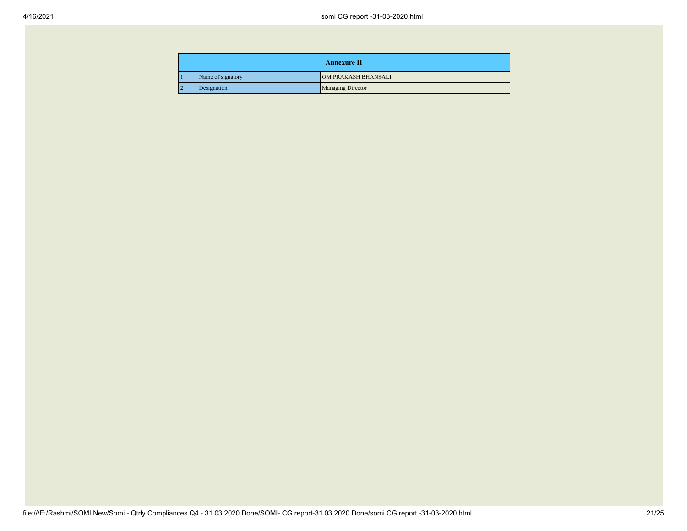|                |                   | <b>Annexure II</b>       |
|----------------|-------------------|--------------------------|
|                | Name of signatory | OM PRAKASH BHANSALI      |
| $\overline{2}$ | Designation       | <b>Managing Director</b> |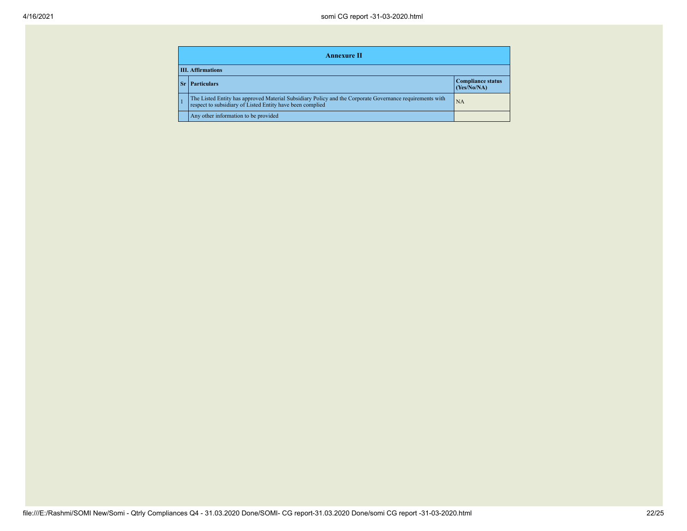| <b>Annexure II</b>                                            |                                                                                                                                                                       |           |  |
|---------------------------------------------------------------|-----------------------------------------------------------------------------------------------------------------------------------------------------------------------|-----------|--|
| <b>III.</b> Affirmations                                      |                                                                                                                                                                       |           |  |
| <b>Compliance status</b><br><b>Particulars</b><br>(Yes/No/NA) |                                                                                                                                                                       |           |  |
|                                                               | The Listed Entity has approved Material Subsidiary Policy and the Corporate Governance requirements with<br>respect to subsidiary of Listed Entity have been complied | <b>NA</b> |  |
|                                                               | Any other information to be provided                                                                                                                                  |           |  |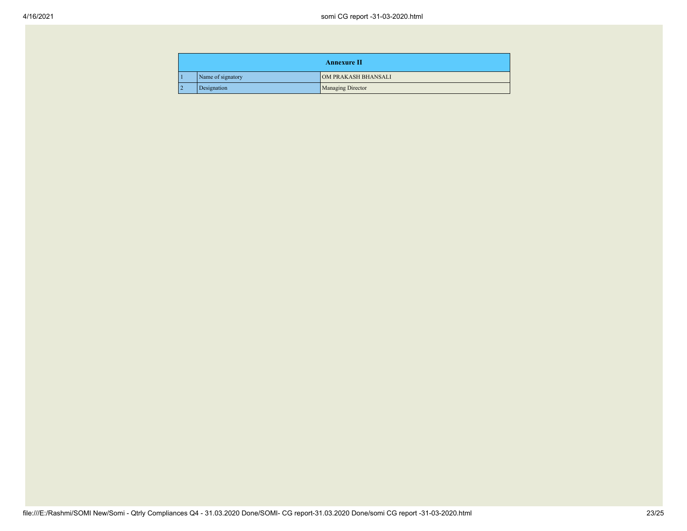|                |                   | <b>Annexure II</b>       |
|----------------|-------------------|--------------------------|
|                | Name of signatory | OM PRAKASH BHANSALI      |
| $\overline{2}$ | Designation       | <b>Managing Director</b> |